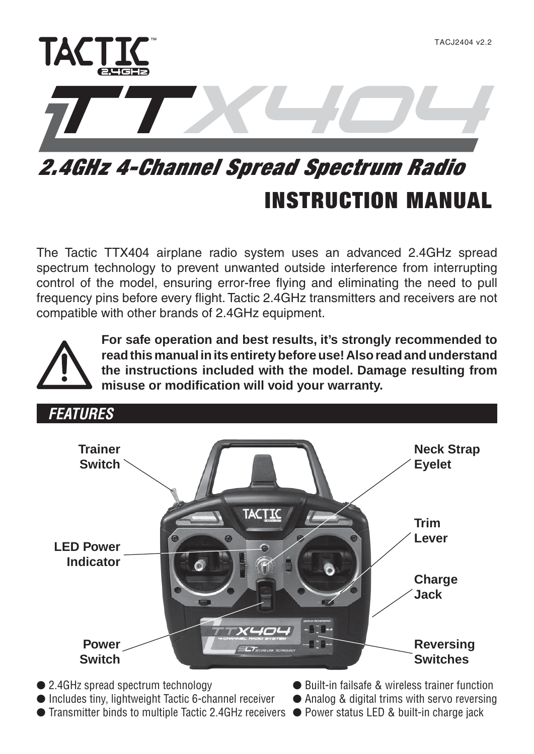

# **INSTRUCTION MANUAL** *2.4GHz 4-Channel Spread Spectrum Radio*

The Tactic TTX404 airplane radio system uses an advanced 2.4GHz spread spectrum technology to prevent unwanted outside interference from interrupting control of the model, ensuring error-free flying and eliminating the need to pull frequency pins before every flight. Tactic 2.4GHz transmitters and receivers are not compatible with other brands of 2.4GHz equipment.



**For safe operation and best results, it's strongly recommended to read this manual in its entirety before use! Also read and understand the instructions included with the model. Damage resulting from**  misuse or modification will void your warranty.



- Includes tiny, lightweight Tactic 6-channel receiver Analog & digital trims with servo reversing
- Transmitter binds to multiple Tactic 2.4GHz receivers Power status LED & built-in charge jack
- 
- -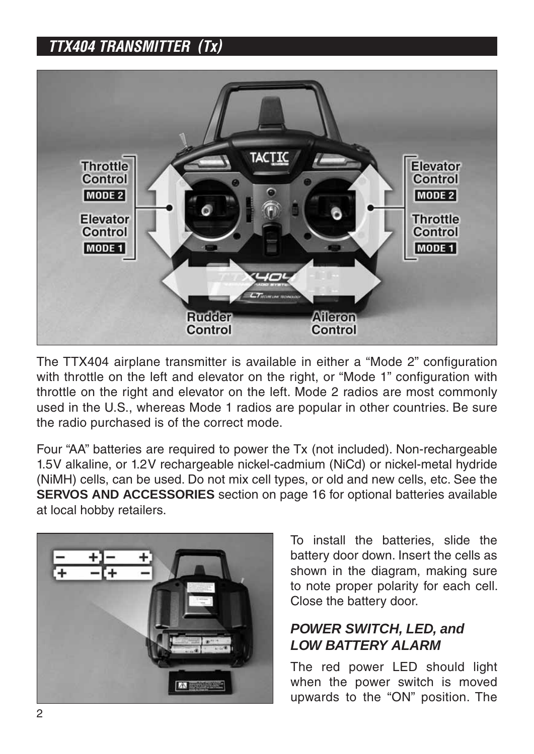# *TTX404 TRANSMITTER (Tx)*



The TTX404 airplane transmitter is available in either a "Mode 2" configuration with throttle on the left and elevator on the right, or "Mode 1" configuration with throttle on the right and elevator on the left. Mode 2 radios are most commonly used in the U.S., whereas Mode 1 radios are popular in other countries. Be sure the radio purchased is of the correct mode.

Four "AA" batteries are required to power the Tx (not included). Non-rechargeable 1.5V alkaline, or 1.2V rechargeable nickel-cadmium (NiCd) or nickel-metal hydride (NiMH) cells, can be used. Do not mix cell types, or old and new cells, etc. See the **SERVOS AND ACCESSORIES** section on page 16 for optional batteries available at local hobby retailers.



To install the batteries, slide the battery door down. Insert the cells as shown in the diagram, making sure to note proper polarity for each cell. Close the battery door.

#### *POWER SWITCH, LED, and LOW BATTERY ALARM*

The red power LED should light when the power switch is moved upwards to the "ON" position. The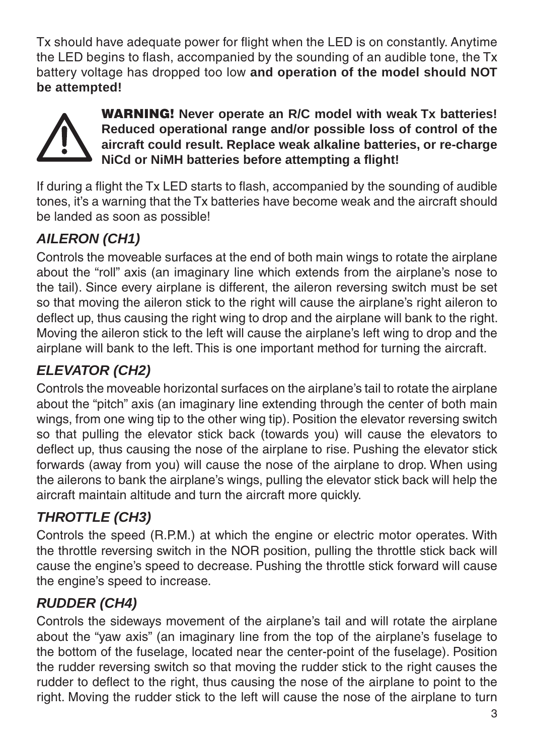Tx should have adequate power for flight when the LED is on constantly. Anytime the LED begins to flash, accompanied by the sounding of an audible tone, the  $Tx$ battery voltage has dropped too low **and operation of the model should NOT be attempted!**



**WARNING! Never operate an R/C model with weak Tx batteries! Reduced operational range and/or possible loss of control of the aircraft could result. Replace weak alkaline batteries, or re-charge NiCd or NiMH batteries before attempting a flight!** 

If during a flight the Tx LED starts to flash, accompanied by the sounding of audible tones, it's a warning that the Tx batteries have become weak and the aircraft should be landed as soon as possible!

### *AILERON (CH1)*

Controls the moveable surfaces at the end of both main wings to rotate the airplane about the "roll" axis (an imaginary line which extends from the airplane's nose to the tail). Since every airplane is different, the aileron reversing switch must be set so that moving the aileron stick to the right will cause the airplane's right aileron to deflect up, thus causing the right wing to drop and the airplane will bank to the right. Moving the aileron stick to the left will cause the airplane's left wing to drop and the airplane will bank to the left. This is one important method for turning the aircraft.

# *ELEVATOR (CH2)*

Controls the moveable horizontal surfaces on the airplane's tail to rotate the airplane about the "pitch" axis (an imaginary line extending through the center of both main wings, from one wing tip to the other wing tip). Position the elevator reversing switch so that pulling the elevator stick back (towards you) will cause the elevators to deflect up, thus causing the nose of the airplane to rise. Pushing the elevator stick forwards (away from you) will cause the nose of the airplane to drop. When using the ailerons to bank the airplane's wings, pulling the elevator stick back will help the aircraft maintain altitude and turn the aircraft more quickly.

# *THROTTLE (CH3)*

Controls the speed (R.P.M.) at which the engine or electric motor operates. With the throttle reversing switch in the NOR position, pulling the throttle stick back will cause the engine's speed to decrease. Pushing the throttle stick forward will cause the engine's speed to increase.

## *RUDDER (CH4)*

Controls the sideways movement of the airplane's tail and will rotate the airplane about the "yaw axis" (an imaginary line from the top of the airplane's fuselage to the bottom of the fuselage, located near the center-point of the fuselage). Position the rudder reversing switch so that moving the rudder stick to the right causes the rudder to deflect to the right, thus causing the nose of the airplane to point to the right. Moving the rudder stick to the left will cause the nose of the airplane to turn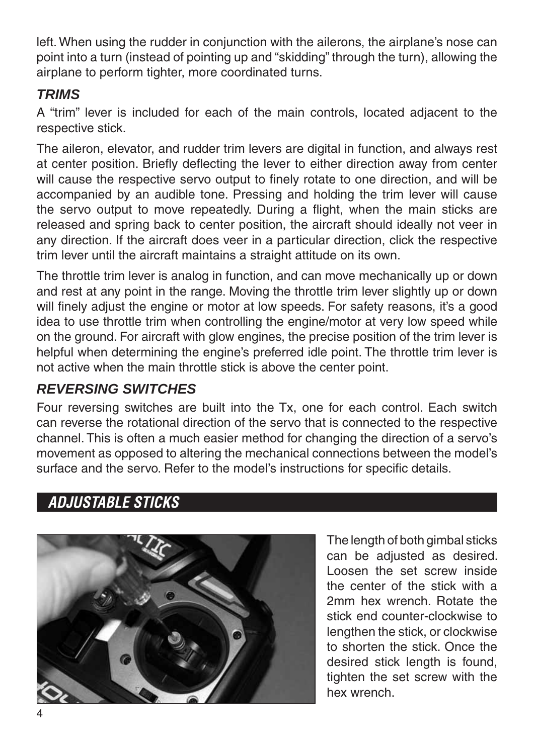left. When using the rudder in conjunction with the ailerons, the airplane's nose can point into a turn (instead of pointing up and "skidding" through the turn), allowing the airplane to perform tighter, more coordinated turns.

#### *TRIMS*

A "trim" lever is included for each of the main controls, located adjacent to the respective stick.

The aileron, elevator, and rudder trim levers are digital in function, and always rest at center position. Briefly deflecting the lever to either direction away from center will cause the respective servo output to finely rotate to one direction, and will be accompanied by an audible tone. Pressing and holding the trim lever will cause the servo output to move repeatedly. During a flight, when the main sticks are released and spring back to center position, the aircraft should ideally not veer in any direction. If the aircraft does veer in a particular direction, click the respective trim lever until the aircraft maintains a straight attitude on its own.

The throttle trim lever is analog in function, and can move mechanically up or down and rest at any point in the range. Moving the throttle trim lever slightly up or down will finely adjust the engine or motor at low speeds. For safety reasons, it's a good idea to use throttle trim when controlling the engine/motor at very low speed while on the ground. For aircraft with glow engines, the precise position of the trim lever is helpful when determining the engine's preferred idle point. The throttle trim lever is not active when the main throttle stick is above the center point.

### *REVERSING SWITCHES*

Four reversing switches are built into the Tx, one for each control. Each switch can reverse the rotational direction of the servo that is connected to the respective channel. This is often a much easier method for changing the direction of a servo's movement as opposed to altering the mechanical connections between the model's surface and the servo. Refer to the model's instructions for specific details.

## *ADJUSTABLE STICKS*



The length of both gimbal sticks can be adjusted as desired. Loosen the set screw inside the center of the stick with a 2mm hex wrench. Rotate the stick end counter-clockwise to lengthen the stick, or clockwise to shorten the stick. Once the desired stick length is found, tighten the set screw with the hex wrench.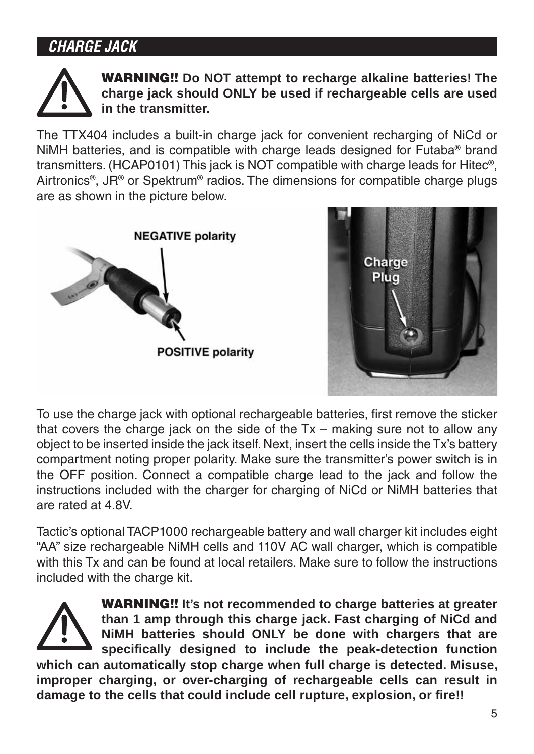# *CHARGE JACK*



**WARNING!! Do NOT attempt to recharge alkaline batteries! The charge jack should ONLY be used if rechargeable cells are used in the transmitter.**

The TTX404 includes a built-in charge jack for convenient recharging of NiCd or NiMH batteries, and is compatible with charge leads designed for Futaba® brand transmitters. (HCAP0101) This jack is NOT compatible with charge leads for Hitec®, Airtronics®, JR® or Spektrum® radios. The dimensions for compatible charge plugs are as shown in the picture below.





To use the charge jack with optional rechargeable batteries, first remove the sticker that covers the charge jack on the side of the  $Tx -$  making sure not to allow any object to be inserted inside the jack itself. Next, insert the cells inside the Tx's battery compartment noting proper polarity. Make sure the transmitter's power switch is in the OFF position. Connect a compatible charge lead to the jack and follow the instructions included with the charger for charging of NiCd or NiMH batteries that are rated at 4.8V.

Tactic's optional TACP1000 rechargeable battery and wall charger kit includes eight "AA" size rechargeable NiMH cells and 110V AC wall charger, which is compatible with this Tx and can be found at local retailers. Make sure to follow the instructions included with the charge kit.



**WARNING!! It's not recommended to charge batteries at greater than 1 amp through this charge jack. Fast charging of NiCd and NiMH batteries should ONLY be done with chargers that are**  specifically designed to include the peak-detection function **which can automatically stop charge when full charge is detected. Misuse, improper charging, or over-charging of rechargeable cells can result in**  damage to the cells that could include cell rupture, explosion, or fire!!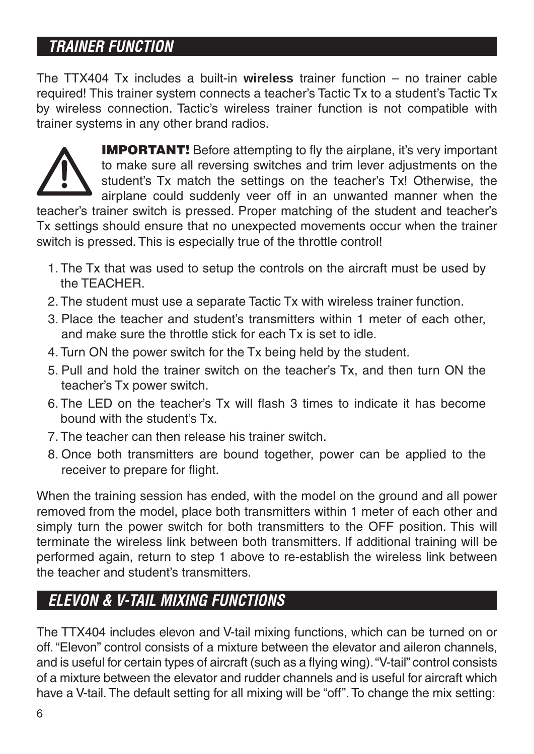# *TRAINER FUNCTION*

The TTX404 Tx includes a built-in **wireless** trainer function – no trainer cable required! This trainer system connects a teacher's Tactic Tx to a student's Tactic Tx by wireless connection. Tactic's wireless trainer function is not compatible with trainer systems in any other brand radios.



**IMPORTANT!** Before attempting to fly the airplane, it's very important to make sure all reversing switches and trim lever adjustments on the student's Tx match the settings on the teacher's Tx! Otherwise, the airplane could suddenly veer off in an unwanted manner when the

teacher's trainer switch is pressed. Proper matching of the student and teacher's Tx settings should ensure that no unexpected movements occur when the trainer switch is pressed. This is especially true of the throttle control!

- 1. The Tx that was used to setup the controls on the aircraft must be used by the TEACHER.
- 2. The student must use a separate Tactic Tx with wireless trainer function.
- 3. Place the teacher and student's transmitters within 1 meter of each other, and make sure the throttle stick for each Tx is set to idle.
- 4. Turn ON the power switch for the Tx being held by the student.
- 5. Pull and hold the trainer switch on the teacher's Tx, and then turn ON the teacher's Tx power switch.
- 6. The LED on the teacher's Tx will flash 3 times to indicate it has become bound with the student's Tx.
- 7. The teacher can then release his trainer switch.
- 8. Once both transmitters are bound together, power can be applied to the receiver to prepare for flight.

When the training session has ended, with the model on the ground and all power removed from the model, place both transmitters within 1 meter of each other and simply turn the power switch for both transmitters to the OFF position. This will terminate the wireless link between both transmitters. If additional training will be performed again, return to step 1 above to re-establish the wireless link between the teacher and student's transmitters.

# *ELEVON & V-TAIL MIXING FUNCTIONS*

The TTX404 includes elevon and V-tail mixing functions, which can be turned on or off. "Elevon" control consists of a mixture between the elevator and aileron channels, and is useful for certain types of aircraft (such as a flying wing). "V-tail" control consists of a mixture between the elevator and rudder channels and is useful for aircraft which have a V-tail. The default setting for all mixing will be "off". To change the mix setting: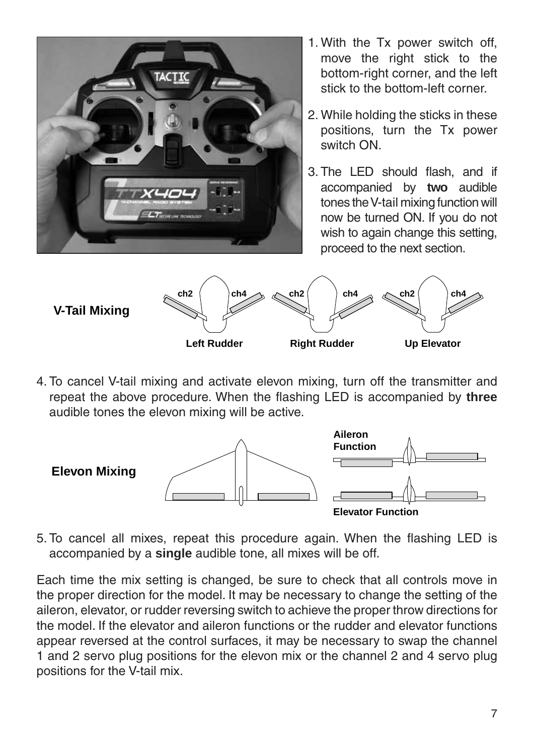

- 1. With the Tx power switch off, move the right stick to the bottom-right corner, and the left stick to the bottom-left corner.
- 2. While holding the sticks in these positions, turn the Tx power switch ON.
- 3. The LED should flash, and if accompanied by **two** audible tones the V-tail mixing function will now be turned ON. If you do not wish to again change this setting. proceed to the next section.



4. To cancel V-tail mixing and activate elevon mixing, turn off the transmitter and repeat the above procedure. When the flashing LED is accompanied by **three** audible tones the elevon mixing will be active.



5. To cancel all mixes, repeat this procedure again. When the flashing LED is accompanied by a **single** audible tone, all mixes will be off.

Each time the mix setting is changed, be sure to check that all controls move in the proper direction for the model. It may be necessary to change the setting of the aileron, elevator, or rudder reversing switch to achieve the proper throw directions for the model. If the elevator and aileron functions or the rudder and elevator functions appear reversed at the control surfaces, it may be necessary to swap the channel 1 and 2 servo plug positions for the elevon mix or the channel 2 and 4 servo plug positions for the V-tail mix.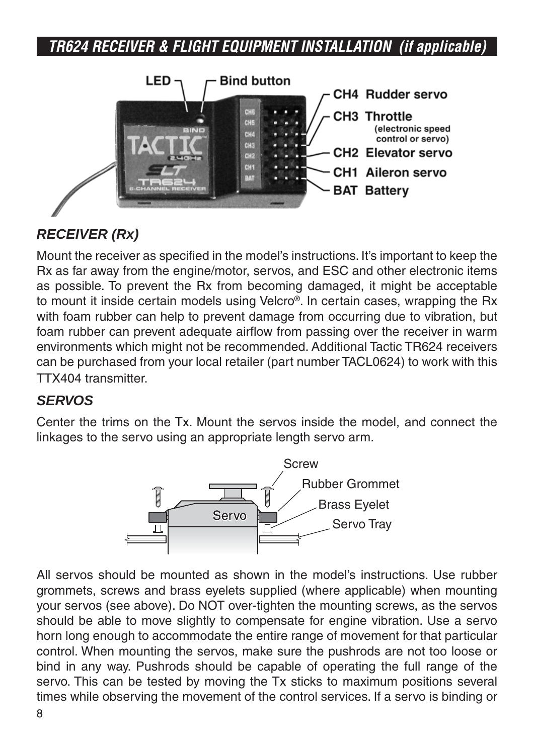# *TR624 RECEIVER & FLIGHT EQUIPMENT INSTALLATION (if applicable)*



### *RECEIVER (Rx)*

Mount the receiver as specified in the model's instructions. It's important to keep the Rx as far away from the engine/motor, servos, and ESC and other electronic items as possible. To prevent the Rx from becoming damaged, it might be acceptable to mount it inside certain models using Velcro®. In certain cases, wrapping the Rx with foam rubber can help to prevent damage from occurring due to vibration, but foam rubber can prevent adequate airflow from passing over the receiver in warm environments which might not be recommended. Additional Tactic TR624 receivers can be purchased from your local retailer (part number TACL0624) to work with this TTX404 transmitter.

#### *SERVOS*

Center the trims on the Tx. Mount the servos inside the model, and connect the linkages to the servo using an appropriate length servo arm.



All servos should be mounted as shown in the model's instructions. Use rubber grommets, screws and brass eyelets supplied (where applicable) when mounting your servos (see above). Do NOT over-tighten the mounting screws, as the servos should be able to move slightly to compensate for engine vibration. Use a servo horn long enough to accommodate the entire range of movement for that particular control. When mounting the servos, make sure the pushrods are not too loose or bind in any way. Pushrods should be capable of operating the full range of the servo. This can be tested by moving the Tx sticks to maximum positions several times while observing the movement of the control services. If a servo is binding or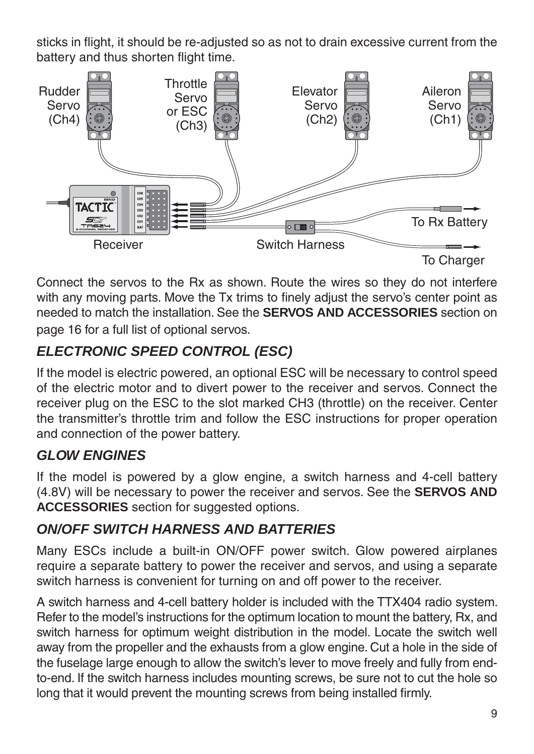sticks in flight, it should be re-adjusted so as not to drain excessive current from the battery and thus shorten flight time.



Connect the servos to the Rx as shown. Route the wires so they do not interfere with any moving parts. Move the Tx trims to finely adjust the servo's center point as needed to match the installation. See the **SERVOS AND ACCESSORIES** section on page 16 for a full list of optional servos.

## *ELECTRONIC SPEED CONTROL (ESC)*

If the model is electric powered, an optional ESC will be necessary to control speed of the electric motor and to divert power to the receiver and servos. Connect the receiver plug on the ESC to the slot marked CH3 (throttle) on the receiver. Center the transmitter's throttle trim and follow the ESC instructions for proper operation and connection of the power battery.

#### *GLOW ENGINES*

If the model is powered by a glow engine, a switch harness and 4-cell battery (4.8V) will be necessary to power the receiver and servos. See the **SERVOS AND ACCESSORIES** section for suggested options.

#### *ON/OFF SWITCH HARNESS AND BATTERIES*

Many ESCs include a built-in ON/OFF power switch. Glow powered airplanes require a separate battery to power the receiver and servos, and using a separate switch harness is convenient for turning on and off power to the receiver.

A switch harness and 4-cell battery holder is included with the TTX404 radio system. Refer to the model's instructions for the optimum location to mount the battery, Rx, and switch harness for optimum weight distribution in the model. Locate the switch well away from the propeller and the exhausts from a glow engine. Cut a hole in the side of the fuselage large enough to allow the switch's lever to move freely and fully from endto-end. If the switch harness includes mounting screws, be sure not to cut the hole so long that it would prevent the mounting screws from being installed firmly.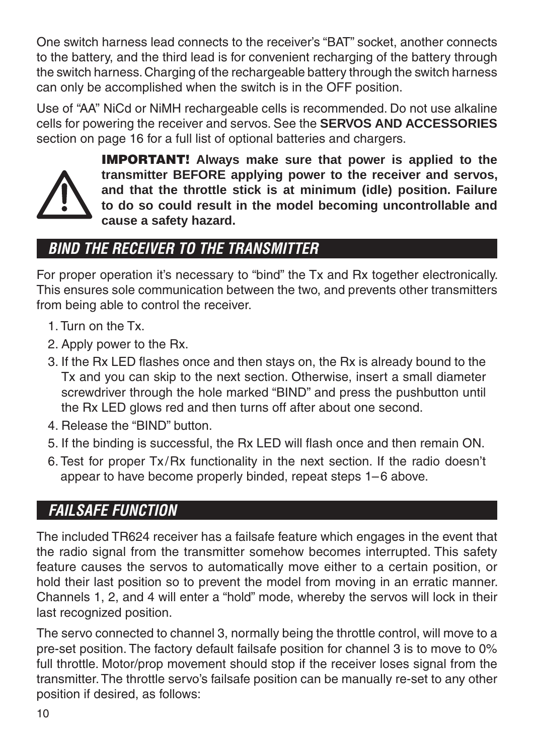One switch harness lead connects to the receiver's "BAT" socket, another connects to the battery, and the third lead is for convenient recharging of the battery through the switch harness. Charging of the rechargeable battery through the switch harness can only be accomplished when the switch is in the OFF position.

Use of "AA" NiCd or NiMH rechargeable cells is recommended. Do not use alkaline cells for powering the receiver and servos. See the **SERVOS AND ACCESSORIES** section on page 16 for a full list of optional batteries and chargers.



**IMPORTANT! Always make sure that power is applied to the transmitter BEFORE applying power to the receiver and servos, and that the throttle stick is at minimum (idle) position. Failure to do so could result in the model becoming uncontrollable and cause a safety hazard.**

# *BIND THE RECEIVER TO THE TRANSMITTER*

For proper operation it's necessary to "bind" the Tx and Rx together electronically. This ensures sole communication between the two, and prevents other transmitters from being able to control the receiver.

- 1. Turn on the Tx.
- 2. Apply power to the Rx.
- 3. If the Rx LED flashes once and then stays on, the Rx is already bound to the Tx and you can skip to the next section. Otherwise, insert a small diameter screwdriver through the hole marked "BIND" and press the pushbutton until the Rx LED glows red and then turns off after about one second.
- 4. Release the "BIND" button.
- 5. If the binding is successful, the Rx LED will flash once and then remain ON.
- 6. Test for proper Tx/Rx functionality in the next section. If the radio doesn't appear to have become properly binded, repeat steps 1–6 above.

# *FAILSAFE FUNCTION*

The included TR624 receiver has a failsafe feature which engages in the event that the radio signal from the transmitter somehow becomes interrupted. This safety feature causes the servos to automatically move either to a certain position, or hold their last position so to prevent the model from moving in an erratic manner. Channels 1, 2, and 4 will enter a "hold" mode, whereby the servos will lock in their last recognized position.

The servo connected to channel 3, normally being the throttle control, will move to a pre-set position. The factory default failsafe position for channel 3 is to move to 0% full throttle. Motor/prop movement should stop if the receiver loses signal from the transmitter. The throttle servo's failsafe position can be manually re-set to any other position if desired, as follows: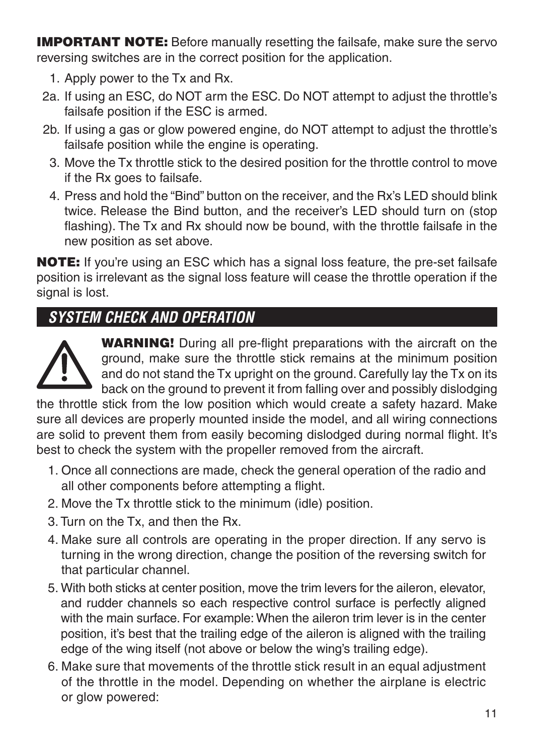**IMPORTANT NOTE:** Before manually resetting the failsafe, make sure the servo reversing switches are in the correct position for the application.

- 1. Apply power to the Tx and Rx.
- 2a. If using an ESC, do NOT arm the ESC. Do NOT attempt to adjust the throttle's failsafe position if the ESC is armed.
- 2b. If using a gas or glow powered engine, do NOT attempt to adjust the throttle's failsafe position while the engine is operating.
	- 3. Move the Tx throttle stick to the desired position for the throttle control to move if the Rx goes to failsafe.
	- 4. Press and hold the "Bind" button on the receiver, and the Rx's LED should blink twice. Release the Bind button, and the receiver's LED should turn on (stop flashing). The Tx and Rx should now be bound, with the throttle failsafe in the new position as set above.

**NOTE:** If you're using an ESC which has a signal loss feature, the pre-set failsafe position is irrelevant as the signal loss feature will cease the throttle operation if the signal is lost.

# *SYSTEM CHECK AND OPERATION*



**WARNING!** During all pre-flight preparations with the aircraft on the ground, make sure the throttle stick remains at the minimum position and do not stand the Tx upright on the ground. Carefully lay the Tx on its back on the ground to prevent it from falling over and possibly dislodging

the throttle stick from the low position which would create a safety hazard. Make sure all devices are properly mounted inside the model, and all wiring connections are solid to prevent them from easily becoming dislodged during normal flight. It's best to check the system with the propeller removed from the aircraft.

- 1. Once all connections are made, check the general operation of the radio and all other components before attempting a flight.
- 2. Move the Tx throttle stick to the minimum (idle) position.
- 3. Turn on the Tx, and then the Rx.
- 4. Make sure all controls are operating in the proper direction. If any servo is turning in the wrong direction, change the position of the reversing switch for that particular channel.
- 5. With both sticks at center position, move the trim levers for the aileron, elevator, and rudder channels so each respective control surface is perfectly aligned with the main surface. For example: When the aileron trim lever is in the center position, it's best that the trailing edge of the aileron is aligned with the trailing edge of the wing itself (not above or below the wing's trailing edge).
- 6. Make sure that movements of the throttle stick result in an equal adjustment of the throttle in the model. Depending on whether the airplane is electric or glow powered: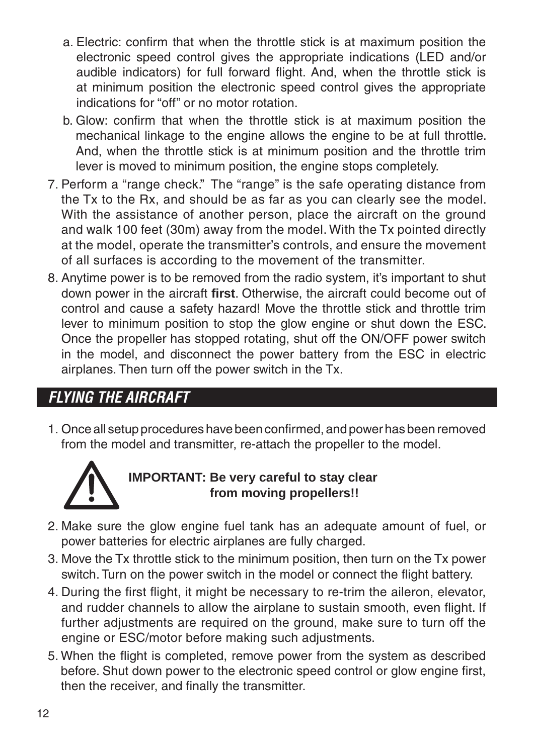- a. Electric: confirm that when the throttle stick is at maximum position the electronic speed control gives the appropriate indications (LED and/or audible indicators) for full forward flight. And, when the throttle stick is at minimum position the electronic speed control gives the appropriate indications for "off" or no motor rotation.
- b. Glow: confirm that when the throttle stick is at maximum position the mechanical linkage to the engine allows the engine to be at full throttle. And, when the throttle stick is at minimum position and the throttle trim lever is moved to minimum position, the engine stops completely.
- 7. Perform a "range check." The "range" is the safe operating distance from the Tx to the Rx, and should be as far as you can clearly see the model. With the assistance of another person, place the aircraft on the ground and walk 100 feet (30m) away from the model. With the Tx pointed directly at the model, operate the transmitter's controls, and ensure the movement of all surfaces is according to the movement of the transmitter.
- 8. Anytime power is to be removed from the radio system, it's important to shut down power in the aircraft **first**. Otherwise, the aircraft could become out of control and cause a safety hazard! Move the throttle stick and throttle trim lever to minimum position to stop the glow engine or shut down the ESC. Once the propeller has stopped rotating, shut off the ON/OFF power switch in the model, and disconnect the power battery from the ESC in electric airplanes. Then turn off the power switch in the Tx.

# *FLYING THE AIRCRAFT*

1. Once all setup procedures have been confirmed, and power has been removed from the model and transmitter, re-attach the propeller to the model.



#### **IMPORTANT: Be very careful to stay clear from moving propellers!!**

- 2. Make sure the glow engine fuel tank has an adequate amount of fuel, or power batteries for electric airplanes are fully charged.
- 3. Move the Tx throttle stick to the minimum position, then turn on the Tx power switch. Turn on the power switch in the model or connect the flight battery.
- 4. During the first flight, it might be necessary to re-trim the aileron, elevator, and rudder channels to allow the airplane to sustain smooth, even flight. If further adjustments are required on the ground, make sure to turn off the engine or ESC/motor before making such adjustments.
- 5. When the flight is completed, remove power from the system as described before. Shut down power to the electronic speed control or glow engine first, then the receiver, and finally the transmitter.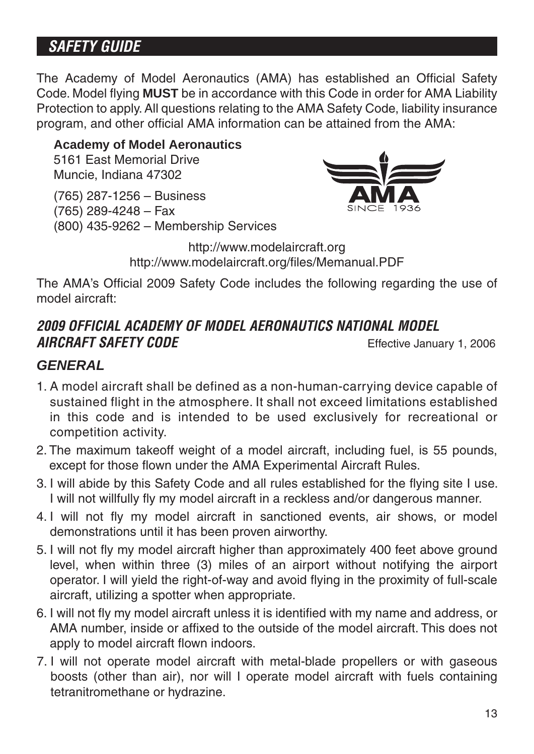# *SAFETY GUIDE*

The Academy of Model Aeronautics (AMA) has established an Official Safety Code. Model flying **MUST** be in accordance with this Code in order for AMA Liability Protection to apply. All questions relating to the AMA Safety Code, liability insurance program, and other official AMA information can be attained from the AMA:

#### **Academy of Model Aeronautics**

5161 East Memorial Drive Muncie, Indiana 47302

(765) 287-1256 – Business

(765) 289-4248 – Fax

(800) 435-9262 – Membership Services



http://www.modelaircraft.org http://www.modelaircraft.org/files/Memanual.PDF

The AMA's Official 2009 Safety Code includes the following regarding the use of model aircraft:

#### *2009 OFFICIAL ACADEMY OF MODEL AERONAUTICS NATIONAL MODEL AIRCRAFT SAFETY CODE* Effective January 1, 2006

#### *GENERAL*

- 1. A model aircraft shall be defined as a non-human-carrying device capable of sustained flight in the atmosphere. It shall not exceed limitations established in this code and is intended to be used exclusively for recreational or competition activity.
- 2. The maximum takeoff weight of a model aircraft, including fuel, is 55 pounds, except for those flown under the AMA Experimental Aircraft Rules.
- 3. I will abide by this Safety Code and all rules established for the flying site I use. I will not willfully fly my model aircraft in a reckless and/or dangerous manner.
- 4. I will not fly my model aircraft in sanctioned events, air shows, or model demonstrations until it has been proven airworthy.
- 5. I will not fly my model aircraft higher than approximately 400 feet above ground level, when within three (3) miles of an airport without notifying the airport operator. I will yield the right-of-way and avoid flying in the proximity of full-scale aircraft, utilizing a spotter when appropriate.
- 6. I will not fly my model aircraft unless it is identified with my name and address, or AMA number, inside or affixed to the outside of the model aircraft. This does not apply to model aircraft flown indoors.
- 7. I will not operate model aircraft with metal-blade propellers or with gaseous boosts (other than air), nor will I operate model aircraft with fuels containing tetranitromethane or hydrazine.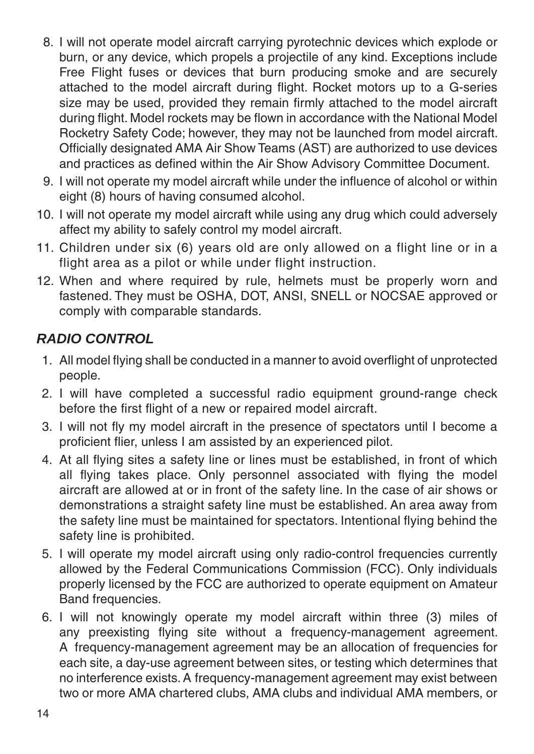- 8. I will not operate model aircraft carrying pyrotechnic devices which explode or burn, or any device, which propels a projectile of any kind. Exceptions include Free Flight fuses or devices that burn producing smoke and are securely attached to the model aircraft during flight. Rocket motors up to a G-series size may be used, provided they remain firmly attached to the model aircraft during flight. Model rockets may be flown in accordance with the National Model Rocketry Safety Code; however, they may not be launched from model aircraft. Officially designated AMA Air Show Teams (AST) are authorized to use devices and practices as defined within the Air Show Advisory Committee Document.
- 9. I will not operate my model aircraft while under the influence of alcohol or within eight (8) hours of having consumed alcohol.
- 10. I will not operate my model aircraft while using any drug which could adversely affect my ability to safely control my model aircraft.
- 11. Children under six (6) years old are only allowed on a flight line or in a flight area as a pilot or while under flight instruction.
- 12. When and where required by rule, helmets must be properly worn and fastened. They must be OSHA, DOT, ANSI, SNELL or NOCSAE approved or comply with comparable standards.

#### *RADIO CONTROL*

- 1. All model flying shall be conducted in a manner to avoid overflight of unprotected people.
- 2. I will have completed a successful radio equipment ground-range check before the first flight of a new or repaired model aircraft.
- 3. I will not fly my model aircraft in the presence of spectators until I become a proficient flier, unless I am assisted by an experienced pilot.
- 4. At all flying sites a safety line or lines must be established, in front of which all flying takes place. Only personnel associated with flying the model aircraft are allowed at or in front of the safety line. In the case of air shows or demonstrations a straight safety line must be established. An area away from the safety line must be maintained for spectators. Intentional flying behind the safety line is prohibited.
- 5. I will operate my model aircraft using only radio-control frequencies currently allowed by the Federal Communications Commission (FCC). Only individuals properly licensed by the FCC are authorized to operate equipment on Amateur Band frequencies.
- 6. I will not knowingly operate my model aircraft within three (3) miles of any preexisting flying site without a frequency-management agreement. A frequency-management agreement may be an allocation of frequencies for each site, a day-use agreement between sites, or testing which determines that no interference exists. A frequency-management agreement may exist between two or more AMA chartered clubs, AMA clubs and individual AMA members, or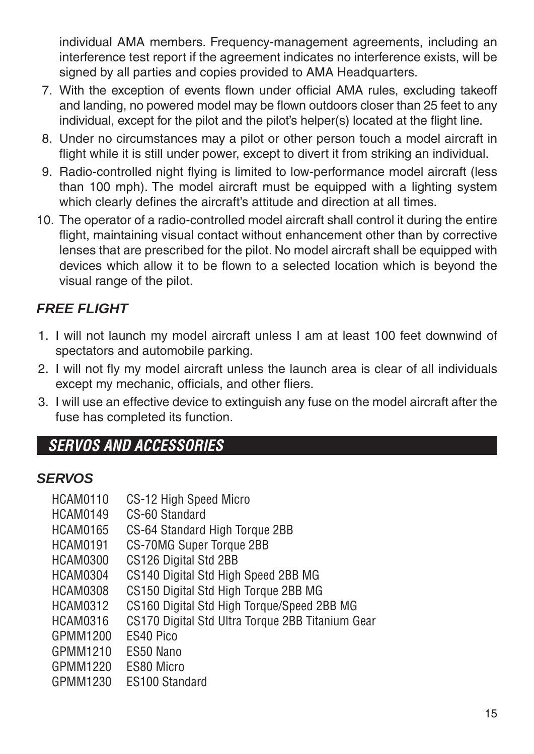individual AMA members. Frequency-management agreements, including an interference test report if the agreement indicates no interference exists, will be signed by all parties and copies provided to AMA Headquarters.

- 7. With the exception of events flown under official AMA rules, excluding takeoff and landing, no powered model may be flown outdoors closer than 25 feet to any individual, except for the pilot and the pilot's helper(s) located at the flight line.
- 8. Under no circumstances may a pilot or other person touch a model aircraft in flight while it is still under power, except to divert it from striking an individual.
- 9. Radio-controlled night flying is limited to low-performance model aircraft (less than 100 mph). The model aircraft must be equipped with a lighting system which clearly defines the aircraft's attitude and direction at all times.
- 10. The operator of a radio-controlled model aircraft shall control it during the entire flight, maintaining visual contact without enhancement other than by corrective lenses that are prescribed for the pilot. No model aircraft shall be equipped with devices which allow it to be flown to a selected location which is beyond the visual range of the pilot.

### *FREE FLIGHT*

- 1. I will not launch my model aircraft unless I am at least 100 feet downwind of spectators and automobile parking.
- 2. I will not fly my model aircraft unless the launch area is clear of all individuals except my mechanic, officials, and other fliers.
- 3. I will use an effective device to extinguish any fuse on the model aircraft after the fuse has completed its function.

## *SERVOS AND ACCESSORIES*

#### *SERVOS*

| <b>HCAM0110</b> | CS-12 High Speed Micro                           |
|-----------------|--------------------------------------------------|
| <b>HCAM0149</b> | CS-60 Standard                                   |
| <b>HCAM0165</b> | CS-64 Standard High Torque 2BB                   |
| <b>HCAM0191</b> | CS-70MG Super Torque 2BB                         |
| <b>HCAM0300</b> | CS126 Digital Std 2BB                            |
| <b>HCAM0304</b> | CS140 Digital Std High Speed 2BB MG              |
| <b>HCAM0308</b> | CS150 Digital Std High Torque 2BB MG             |
| HCAM0312        | CS160 Digital Std High Torque/Speed 2BB MG       |
| <b>HCAM0316</b> | CS170 Digital Std Ultra Torque 2BB Titanium Gear |
| GPMM1200        | FS40 Pico                                        |
| GPMM1210        | FS50 Nano                                        |
| GPMM1220        | ES80 Micro                                       |
| GPMM1230        | <b>FS100 Standard</b>                            |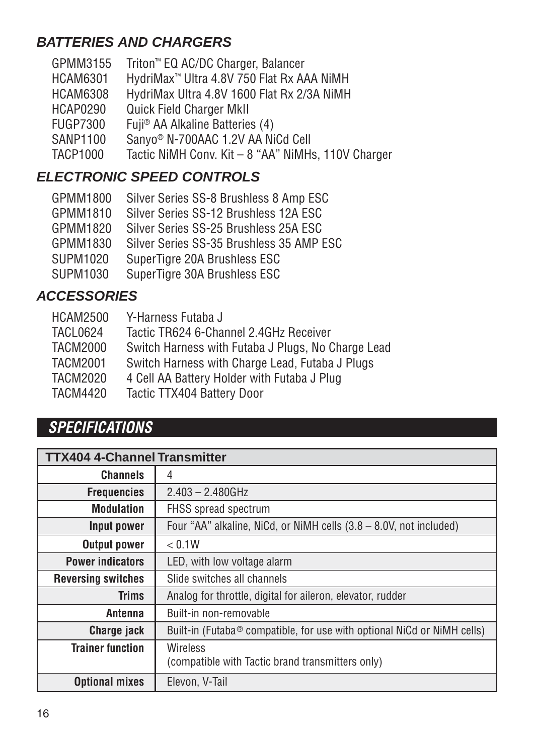#### *BATTERIES AND CHARGERS*

| GPMM3155        | Triton <sup>™</sup> EQ AC/DC Charger, Balancer        |
|-----------------|-------------------------------------------------------|
| <b>HCAM6301</b> | HydriMax <sup>™</sup> Ultra 4.8V 750 Flat Rx AAA NiMH |
| <b>HCAM6308</b> | HydriMax Ultra 4.8V 1600 Flat Rx 2/3A NiMH            |
| HCAP0290        | <b>Quick Field Charger MkII</b>                       |
| <b>FUGP7300</b> | Fuji <sup>®</sup> AA Alkaline Batteries (4)           |
| <b>SANP1100</b> | Sanyo <sup>®</sup> N-700AAC 1.2V AA NiCd Cell         |
| <b>TACP1000</b> | Tactic NiMH Conv. Kit - 8 "AA" NiMHs, 110V Charger    |
|                 |                                                       |

# *ELECTRONIC SPEED CONTROLS*

| Silver Series SS-8 Brushless 8 Amp ESC   |
|------------------------------------------|
| Silver Series SS-12 Brushless 12A ESC    |
| Silver Series SS-25 Brushless 25A ESC    |
| Silver Series SS-35 Brushless 35 AMP ESC |
| SuperTigre 20A Brushless ESC             |
| SuperTigre 30A Brushless ESC             |
|                                          |

#### *ACCESSORIES*

| <b>TACL0624</b><br>Tactic TR624 6-Channel 2.4GHz Receiver<br><b>TACM2000</b><br><b>TACM2001</b><br>Switch Harness with Charge Lead, Futaba J Plugs<br><b>TACM2020</b><br>4 Cell AA Battery Holder with Futaba J Plug<br>TACM4420<br>Tactic TTX404 Battery Door | <b>HCAM2500</b> | Y-Harness Futaba J                                 |
|----------------------------------------------------------------------------------------------------------------------------------------------------------------------------------------------------------------------------------------------------------------|-----------------|----------------------------------------------------|
|                                                                                                                                                                                                                                                                |                 |                                                    |
|                                                                                                                                                                                                                                                                |                 | Switch Harness with Futaba J Plugs, No Charge Lead |
|                                                                                                                                                                                                                                                                |                 |                                                    |
|                                                                                                                                                                                                                                                                |                 |                                                    |
|                                                                                                                                                                                                                                                                |                 |                                                    |

### *SPECIFICATIONS*

| <b>TTX404 4-Channel Transmitter</b> |                                                                                     |  |  |
|-------------------------------------|-------------------------------------------------------------------------------------|--|--|
| <b>Channels</b>                     | 4                                                                                   |  |  |
| <b>Frequencies</b>                  | $2.403 - 2.480$ GHz                                                                 |  |  |
| <b>Modulation</b>                   | <b>FHSS</b> spread spectrum                                                         |  |  |
| Input power                         | Four "AA" alkaline, NiCd, or NiMH cells (3.8 – 8.0V, not included)                  |  |  |
| <b>Output power</b>                 | < 0.1W                                                                              |  |  |
| <b>Power indicators</b>             | LED, with low voltage alarm                                                         |  |  |
| <b>Reversing switches</b>           | Slide switches all channels                                                         |  |  |
| <b>Trims</b>                        | Analog for throttle, digital for aileron, elevator, rudder                          |  |  |
| Antenna                             | Built-in non-removable                                                              |  |  |
| Charge jack                         | Built-in (Futaba <sup>®</sup> compatible, for use with optional NiCd or NiMH cells) |  |  |
| <b>Trainer function</b>             | Wireless<br>(compatible with Tactic brand transmitters only)                        |  |  |
| <b>Optional mixes</b>               | Elevon, V-Tail                                                                      |  |  |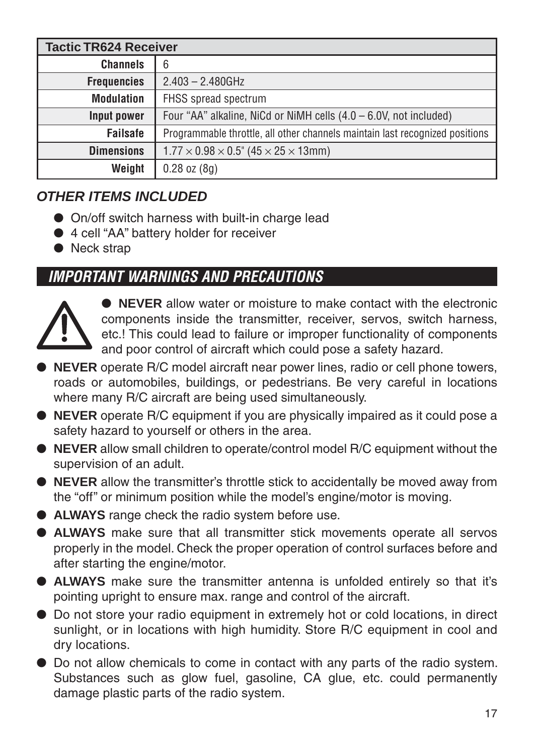| <b>Tactic TR624 Receiver</b> |                                                                              |  |
|------------------------------|------------------------------------------------------------------------------|--|
| <b>Channels</b>              | 6                                                                            |  |
| <b>Frequencies</b>           | $2.403 - 2.480$ GHz                                                          |  |
| <b>Modulation</b>            | FHSS spread spectrum                                                         |  |
| Input power                  | Four "AA" alkaline, NiCd or NiMH cells $(4.0 - 6.0V, \text{not included})$   |  |
| <b>Failsafe</b>              | Programmable throttle, all other channels maintain last recognized positions |  |
| <b>Dimensions</b>            | $1.77 \times 0.98 \times 0.5$ " (45 $\times$ 25 $\times$ 13mm)               |  |
| Weight                       | $0.28$ oz $(8q)$                                                             |  |

### *OTHER ITEMS INCLUDED*

- On/off switch harness with built-in charge lead
- 4 cell "AA" battery holder for receiver
- Neck strap

# *IMPORTANT WARNINGS AND PRECAUTIONS*



● **NEVER** allow water or moisture to make contact with the electronic components inside the transmitter, receiver, servos, switch harness, etc.! This could lead to failure or improper functionality of components and poor control of aircraft which could pose a safety hazard.

- **NEVER** operate R/C model aircraft near power lines, radio or cell phone towers, roads or automobiles, buildings, or pedestrians. Be very careful in locations where many R/C aircraft are being used simultaneously.
- **NEVER** operate R/C equipment if you are physically impaired as it could pose a safety hazard to yourself or others in the area.
- **NEVER** allow small children to operate/control model R/C equipment without the supervision of an adult.
- ● **NEVER** allow the transmitter's throttle stick to accidentally be moved away from the "off" or minimum position while the model's engine/motor is moving.
- **ALWAYS** range check the radio system before use.
- ● **ALWAYS** make sure that all transmitter stick movements operate all servos properly in the model. Check the proper operation of control surfaces before and after starting the engine/motor.
- ● **ALWAYS** make sure the transmitter antenna is unfolded entirely so that it's pointing upright to ensure max. range and control of the aircraft.
- Do not store your radio equipment in extremely hot or cold locations, in direct sunlight, or in locations with high humidity. Store R/C equipment in cool and dry locations.
- ●Do not allow chemicals to come in contact with any parts of the radio system. Substances such as glow fuel, gasoline, CA glue, etc. could permanently damage plastic parts of the radio system.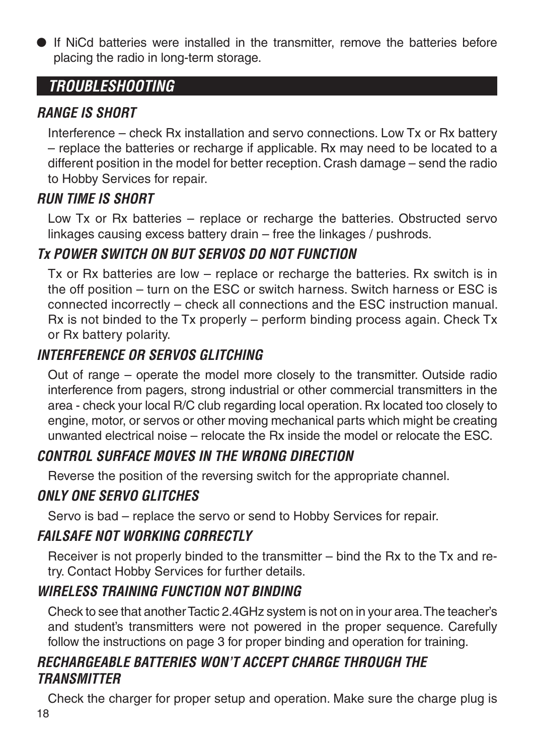● If NiCd batteries were installed in the transmitter, remove the batteries before placing the radio in long-term storage.

### *TROUBLESHOOTING*

#### *RANGE IS SHORT*

Interference – check Rx installation and servo connections. Low Tx or Rx battery – replace the batteries or recharge if applicable. Rx may need to be located to a different position in the model for better reception. Crash damage – send the radio to Hobby Services for repair.

#### *RUN TIME IS SHORT*

Low Tx or Rx batteries – replace or recharge the batteries. Obstructed servo linkages causing excess battery drain – free the linkages / pushrods.

### *Tx POWER SWITCH ON BUT SERVOS DO NOT FUNCTION*

Tx or Rx batteries are low – replace or recharge the batteries. Rx switch is in the off position – turn on the ESC or switch harness. Switch harness or ESC is connected incorrectly – check all connections and the ESC instruction manual. Rx is not binded to the Tx properly – perform binding process again. Check Tx or Rx battery polarity.

### *INTERFERENCE OR SERVOS GLITCHING*

Out of range – operate the model more closely to the transmitter. Outside radio interference from pagers, strong industrial or other commercial transmitters in the area - check your local R/C club regarding local operation. Rx located too closely to engine, motor, or servos or other moving mechanical parts which might be creating unwanted electrical noise – relocate the Rx inside the model or relocate the ESC.

### *CONTROL SURFACE MOVES IN THE WRONG DIRECTION*

Reverse the position of the reversing switch for the appropriate channel.

### *ONLY ONE SERVO GLITCHES*

Servo is bad – replace the servo or send to Hobby Services for repair.

#### *FAILSAFE NOT WORKING CORRECTLY*

Receiver is not properly binded to the transmitter – bind the Rx to the Tx and retry. Contact Hobby Services for further details.

### *WIRELESS TRAINING FUNCTION NOT BINDING*

Check to see that another Tactic 2.4GHz system is not on in your area. The teacher's and student's transmitters were not powered in the proper sequence. Carefully follow the instructions on page 3 for proper binding and operation for training.

### *RECHARGEABLE BATTERIES WON'T ACCEPT CHARGE THROUGH THE TRANSMITTER*

18 Check the charger for proper setup and operation. Make sure the charge plug is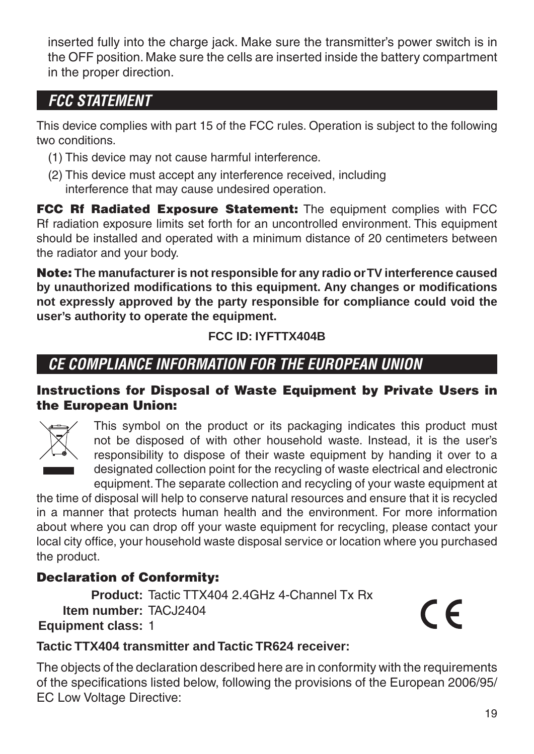inserted fully into the charge jack. Make sure the transmitter's power switch is in the OFF position. Make sure the cells are inserted inside the battery compartment in the proper direction.

### *FCC STATEMENT*

This device complies with part 15 of the FCC rules. Operation is subject to the following two conditions.

- (1) This device may not cause harmful interference.
- (2) This device must accept any interference received, including interference that may cause undesired operation.

**FCC Rf Radiated Exposure Statement:** The equipment complies with FCC Rf radiation exposure limits set forth for an uncontrolled environment. This equipment should be installed and operated with a minimum distance of 20 centimeters between the radiator and your body.

**Note: The manufacturer is not responsible for any radio or TV interference caused**  by unauthorized modifications to this equipment. Any changes or modifications **not expressly approved by the party responsible for compliance could void the user's authority to operate the equipment.**

#### **FCC ID: IYFTTX404B**

# *CE COMPLIANCE INFORMATION FOR THE EUROPEAN UNION*

#### **Instructions for Disposal of Waste Equipment by Private Users in the European Union:**



This symbol on the product or its packaging indicates this product must not be disposed of with other household waste. Instead, it is the user's responsibility to dispose of their waste equipment by handing it over to a designated collection point for the recycling of waste electrical and electronic equipment. The separate collection and recycling of your waste equipment at

the time of disposal will help to conserve natural resources and ensure that it is recycled in a manner that protects human health and the environment. For more information about where you can drop off your waste equipment for recycling, please contact your local city office, your household waste disposal service or location where you purchased the product.

#### **Declaration of Conformity:**

**Product:** Tactic TTX404 2.4GHz 4-Channel Tx Rx **Item number:** TACJ2404  **Equipment class:** 1

 $\epsilon$ 

#### **Tactic TTX404 transmitter and Tactic TR624 receiver:**

The objects of the declaration described here are in conformity with the requirements of the specifications listed below, following the provisions of the European 2006/95/ EC Low Voltage Directive: